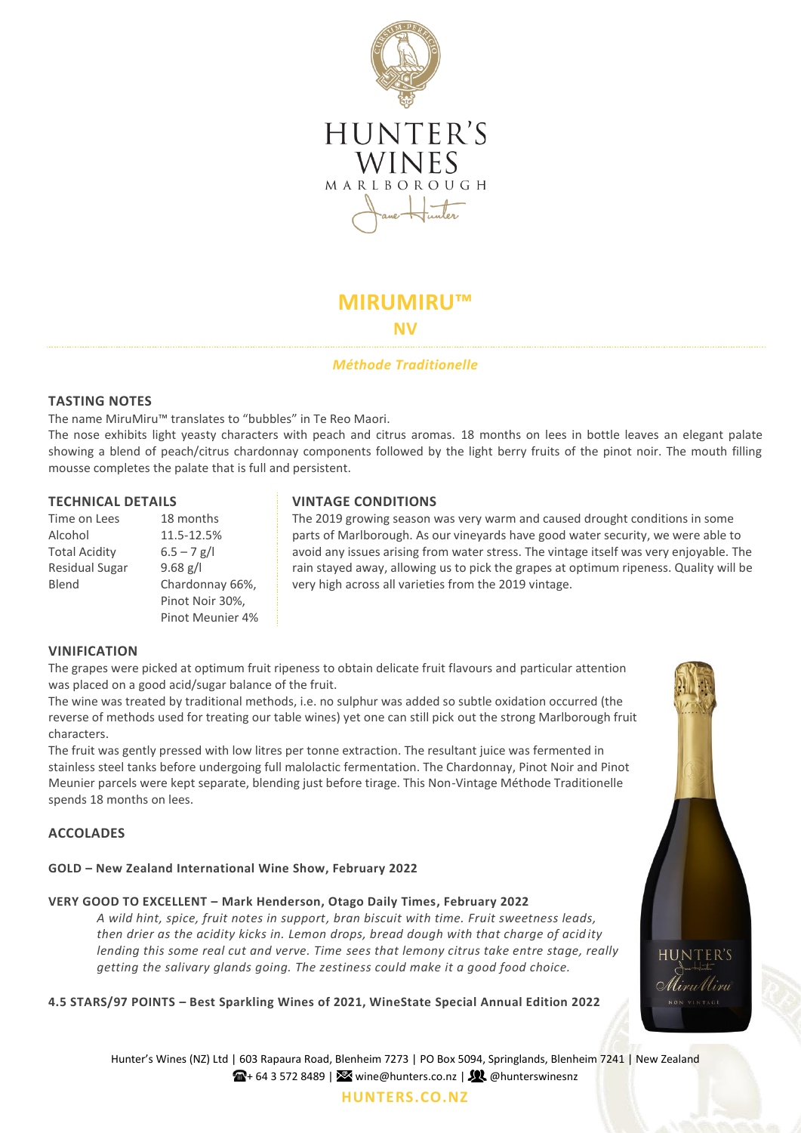

# **MIRUMIRU™**

**NV**

# *Méthode Traditionelle*

# **TASTING NOTES**

The name MiruMiru™ translates to "bubbles" in Te Reo Maori.

The nose exhibits light yeasty characters with peach and citrus aromas. 18 months on lees in bottle leaves an elegant palate showing a blend of peach/citrus chardonnay components followed by the light berry fruits of the pinot noir. The mouth filling mousse completes the palate that is full and persistent.

| Time on Lees          | 18 months        |
|-----------------------|------------------|
| Alcohol               | 11.5-12.5%       |
| <b>Total Acidity</b>  | $6.5 - 7$ g/l    |
| <b>Residual Sugar</b> | $9.68$ g/l       |
| Blend                 | Chardonnay 66%,  |
|                       | Pinot Noir 30%,  |
|                       | Pinot Meunier 4% |

# **TECHNICAL DETAILS VINTAGE CONDITIONS**

The 2019 growing season was very warm and caused drought conditions in some parts of Marlborough. As our vineyards have good water security, we were able to avoid any issues arising from water stress. The vintage itself was very enjoyable. The rain stayed away, allowing us to pick the grapes at optimum ripeness. Quality will be very high across all varieties from the 2019 vintage.

# **VINIFICATION**

The grapes were picked at optimum fruit ripeness to obtain delicate fruit flavours and particular attention was placed on a good acid/sugar balance of the fruit.

The wine was treated by traditional methods, i.e. no sulphur was added so subtle oxidation occurred (the reverse of methods used for treating our table wines) yet one can still pick out the strong Marlborough fruit characters.

The fruit was gently pressed with low litres per tonne extraction. The resultant juice was fermented in stainless steel tanks before undergoing full malolactic fermentation. The Chardonnay, Pinot Noir and Pinot Meunier parcels were kept separate, blending just before tirage. This Non-Vintage Méthode Traditionelle spends 18 months on lees.

# **ACCOLADES**

# **GOLD – New Zealand International Wine Show, February 2022**

# **VERY GOOD TO EXCELLENT – Mark Henderson, Otago Daily Times, February 2022**

*A wild hint, spice, fruit notes in support, bran biscuit with time. Fruit sweetness leads, then drier as the acidity kicks in. Lemon drops, bread dough with that charge of acidity lending this some real cut and verve. Time sees that lemony citrus take entre stage, really getting the salivary glands going. The zestiness could make it a good food choice.*

**4.5 STARS/97 POINTS – Best Sparkling Wines of 2021, WineState Special Annual Edition 2022**



Hunter's Wines (NZ) Ltd | 603 Rapaura Road, Blenheim 7273 | PO Box 5094, Springlands, Blenheim 7241 | New Zealand  $\mathbb{R}$ + 64 3 572 8489 |  $\mathbb{R}$  wine@hunters.co.nz |  $\mathbb{R}$  @hunterswinesnz

### **[HUNTERS.CO.NZ](http://www.hunters.co.nz/)**